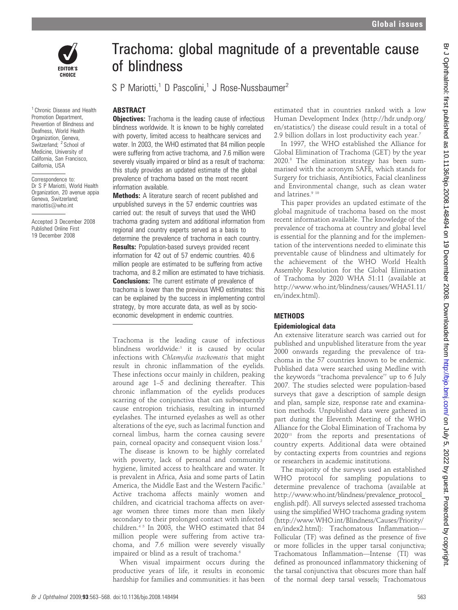

**EDITOR'S** CHOICE

<sup>1</sup> Chronic Disease and Health Promotion Department, Prevention of Blindness and Deafness, World Health Organization, Geneva, Switzerland: <sup>2</sup> School of Medicine, University of California, San Francisco, California, USA

Correspondence to: Dr S P Mariotti, World Health Organization, 20 avenue appia Geneva, Switzerland; mariottis@who.int

Accepted 3 December 2008 Published Online First 19 December 2008

# Trachoma: global magnitude of a preventable cause of blindness

S P Mariotti,<sup>1</sup> D Pascolini,<sup>1</sup> J Rose-Nussbaumer<sup>2</sup>

# ABSTRACT

**Objectives:** Trachoma is the leading cause of infectious blindness worldwide. It is known to be highly correlated with poverty, limited access to healthcare services and water. In 2003, the WHO estimated that 84 million people were suffering from active trachoma, and 7.6 million were severely visually impaired or blind as a result of trachoma: this study provides an updated estimate of the global prevalence of trachoma based on the most recent information available.

Methods: A literature search of recent published and unpublished surveys in the 57 endemic countries was carried out: the result of surveys that used the WHO trachoma grading system and additional information from regional and country experts served as a basis to determine the prevalence of trachoma in each country. **Results:** Population-based surveys provided recent information for 42 out of 57 endemic countries. 40.6 million people are estimated to be suffering from active trachoma, and 8.2 million are estimated to have trichiasis. **Conclusions:** The current estimate of prevalence of trachoma is lower than the previous WHO estimates: this can be explained by the success in implementing control strategy, by more accurate data, as well as by socioeconomic development in endemic countries.

Trachoma is the leading cause of infectious blindness worldwide:<sup>1</sup> it is caused by ocular infections with Chlamydia trachomatis that might result in chronic inflammation of the eyelids. These infections occur mainly in children, peaking around age 1–5 and declining thereafter. This chronic inflammation of the eyelids produces scarring of the conjunctiva that can subsequently cause entropion trichiasis, resulting in inturned eyelashes. The inturned eyelashes as well as other alterations of the eye, such as lacrimal function and corneal limbus, harm the cornea causing severe pain, corneal opacity and consequent vision loss.<sup>2</sup>

The disease is known to be highly correlated with poverty, lack of personal and community hygiene, limited access to healthcare and water. It is prevalent in Africa, Asia and some parts of Latin America, the Middle East and the Western Pacific.<sup>3</sup> Active trachoma affects mainly women and children, and cicatricial trachoma affects on average women three times more than men likely secondary to their prolonged contact with infected children.4 5 In 2003, the WHO estimated that 84 million people were suffering from active trachoma, and 7.6 million were severely visually impaired or blind as a result of trachoma.<sup>6</sup>

When visual impairment occurs during the productive years of life, it results in economic hardship for families and communities: it has been estimated that in countries ranked with a low Human Development Index (http://hdr.undp.org/ en/statistics/) the disease could result in a total of 2.9 billion dollars in lost productivity each year.<sup>7</sup>

In 1997, the WHO established the Alliance for Global Elimination of Trachoma (GET) by the year 2020.8 The elimination strategy has been summarised with the acronym SAFE, which stands for Surgery for trichiasis, Antibiotics, Facial cleanliness and Environmental change, such as clean water and latrines.<sup>9</sup> 10</sup>

This paper provides an updated estimate of the global magnitude of trachoma based on the most recent information available. The knowledge of the prevalence of trachoma at country and global level is essential for the planning and for the implementation of the interventions needed to eliminate this preventable cause of blindness and ultimately for the achievement of the WHO World Health Assembly Resolution for the Global Elimination of Trachoma by 2020 WHA 51:11 (available at http://www.who.int/blindness/causes/WHA51.11/ en/index.html).

#### **METHODS**

# Epidemiological data

An extensive literature search was carried out for published and unpublished literature from the year 2000 onwards regarding the prevalence of trachoma in the 57 countries known to be endemic. Published data were searched using Medline with the keywords ''trachoma prevalence'' up to 6 July 2007. The studies selected were population-based surveys that gave a description of sample design and plan, sample size, response rate and examination methods. Unpublished data were gathered in part during the Eleventh Meeting of the WHO Alliance for the Global Elimination of Trachoma by 202011 from the reports and presentations of country experts. Additional data were obtained by contacting experts from countries and regions or researchers in academic institutions.

The majority of the surveys used an established WHO protocol for sampling populations to determine prevalence of trachoma (available at http://www.who.int/blindness/prevalence\_protocol\_ english.pdf). All surveys selected assessed trachoma using the simplified WHO trachoma grading system (http://www.WHO.int/Blindness/Causes/Priority/ en/index2.html): Trachomatous Inflammation— Follicular (TF) was defined as the presence of five or more follicles in the upper tarsal conjunctiva; Trachomatous Inflammation—Intense (TI) was defined as pronounced inflammatory thickening of the tarsal conjunctiva that obscures more than half of the normal deep tarsal vessels; Trachomatous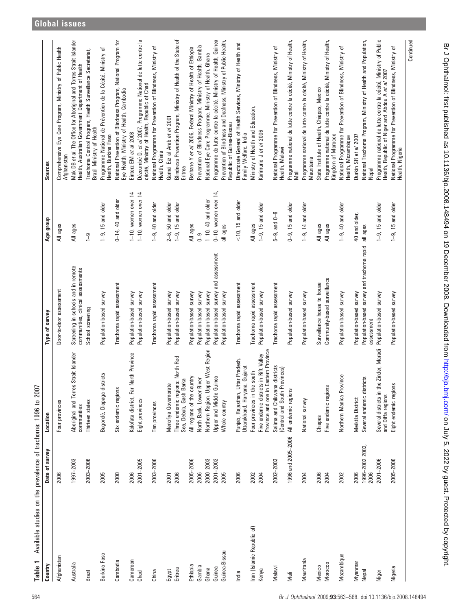| Available studies on the prevalence of trachoma: 1996 to 2007<br>Table 1 |                        |                                                                                  |                                                                         |                       |                                                                                                                          |
|--------------------------------------------------------------------------|------------------------|----------------------------------------------------------------------------------|-------------------------------------------------------------------------|-----------------------|--------------------------------------------------------------------------------------------------------------------------|
| Country                                                                  | survey<br>Date of      | Location                                                                         | Type of survey                                                          | Age group             | <b>Sources</b>                                                                                                           |
| Afghanistan                                                              | 2006                   | Four provinces                                                                   | Door-to-door assessment                                                 | All ages              | Comprehensive Eye Care Program, Ministry of Public Health<br>Afghanistan                                                 |
| Australia                                                                | 1997-2003              | Aboriginal and Torres Strait Islander<br>communities                             | Screening in schools and in remote<br>communities, clinical assessments | All ages              | Mak DB et al. The Office for Aboriginal and Torres Strait Islander<br>Health, Australian Government Department of Health |
| Brazil                                                                   | 2003-2006              | Thirteen states                                                                  | School screening                                                        | $\overline{1}$        | Trachoma Control Program, Health Surveillance Secretariat,<br>Brazil Ministry of Health                                  |
| Burkina Faso                                                             | 2005                   | Bugondè, Diapaga districts                                                       | Population-based survey                                                 | $1-9$ , 15 and older  | Programme National de Prévention de la Cécité, Ministry of<br>Health, Burkina Faso                                       |
| Cambodia                                                                 | 2000                   | Six endemic regions                                                              | Trachoma rapid assessment                                               | $0-14$ , 40 and older | National Prevention of Blindness Program, National Program for<br>Eye Health, Ministry of Health, Cambodia               |
| Cameroon                                                                 | 2006                   | Kolofata district, Far North Province                                            | Population-based survey                                                 | 1-10, women over 14   | Einterz EM et al 2008                                                                                                    |
| Chad                                                                     | 2001-2005              | Eight provinces                                                                  | Population-based survey                                                 | 1-10, women over 14   | Dézoumbé D. et al 2007, Programme National de lutte contre la<br>cécité, Ministry of Health, Republic of Chad            |
| China                                                                    | 2003-2006              | Ten provinces                                                                    | Trachoma rapid assessment                                               | $1-9$ , 40 and older  | National Programme for Prevention of Blindness, Ministry of<br>Health, China                                             |
| Egypt                                                                    | 2001                   | Menofiya Governorate                                                             | Population-based survey                                                 | $2-6$ , 50 and older  | Gamal Ezz al Arab et al 2001                                                                                             |
| Eritrea                                                                  | 2006                   | orth Red<br>Three endemic regions: N<br>Sea, Debub, Gash Barka                   | Population-based survey                                                 | $1-9$ , 15 and older  | Blindness Prevention Program, Ministry of Health of the State of<br>Eritrea                                              |
| Ethiopia                                                                 | $2005 - 2006$          | All regions of the country                                                       | Population-based survey                                                 | All ages              | Berhane Y et al 2006, Federal Ministry of Health of Ethiopia                                                             |
| Gambia                                                                   | 2006                   | North Bank, Lower River                                                          | Population-based survey                                                 | $0 - 9$               | Prevention of Blindness Program, Ministry of Health, Gambia                                                              |
| Ghana                                                                    | 2000-2003              | Northern Region, Upper West Region                                               | Population-based survey                                                 | 1-10, 40 and older    | National Eye Care Programme, Ministry of Health, Ghana                                                                   |
| Guinea                                                                   | $2001 - 2002$          | Upper and Middle Guinea                                                          | Population-based survey and assessment                                  | 0-10, women over 14,  | Programme de lutte contre la cécité, Ministry of Health, Guinea                                                          |
| Guinea-Bissau                                                            | 2005                   | Whole country                                                                    | Population-based survey                                                 | all ages              | Prevention of Blindness and Deafness, Ministry of Public Health,<br>Republic of Guinea-Bissau                            |
| India                                                                    | 2006                   | Pradesh,<br>Uttarakhand, Haryana, Gujarat<br>Punjab, Rajasthan, Uttar            | Trachoma rapid assessment                                               | $<$ 10, 15 and older  | Directorate General of Health Services, Ministry of Health and<br>Family Welfare, India                                  |
| Iran (Islamic Republic of)                                               | 2002                   | Four provinces in the south                                                      | Trachoma rapid assessment                                               | All ages              | Ministry of Health and Education,                                                                                        |
| Kenya                                                                    | 2004                   | Province and one in Eastern Province<br>Rift Valley<br>Five endemic districts in | Population-based survey                                                 | $1-9$ , 15 and older  | Karimurio J et al 2006                                                                                                   |
| Malawi                                                                   | 2002-2003              | Salima and Chikwana districts<br>(Central and South Provinces)                   | Trachoma rapid assessment                                               | $5-9$ , and $0-9$     | National Programme for Prevention of Blindness, Ministry of<br>Health, Malawi                                            |
| Mali                                                                     | 1996 and 2005-2006     | All endemic regions                                                              | Population-based survey                                                 | $0-9$ , 15 and older  | Programme national de lutte contre la cécité, Ministry of Health,<br>Nali                                                |
| Mauritania                                                               | 2004                   | National survey                                                                  | Population-based survey                                                 | $1-9$ , 14 and older  | Programme national de lutte contre la cécité, Ministry of Health,<br>Mauritania                                          |
| Mexico                                                                   | 2006                   | Chiapas                                                                          | Surveillance house to house                                             | All ages              | State Institute of Health, Chiapas, Mexico                                                                               |
| Morocco                                                                  | 2004                   | Five endemic regions                                                             | Community-based surveillance                                            | All ages              | Programme national de lutte contre la cécité, Ministry of Health,<br>Kingdom of Morocco                                  |
| Mozambique                                                               | 2002                   | Northern Manica Province                                                         | Population-based survey                                                 | $1-9$ , 40 and older  | National Programme for Prevention of Blindness, Ministry of<br>Health, Mozambique                                        |
| Myanmar                                                                  | 2006                   | Meiktila District                                                                | Population-based survey                                                 | 40 and older,         | Durkin SR et al 2007                                                                                                     |
| Nepal                                                                    | 1996-2002 2003<br>2006 | Several endemic districts                                                        | Population-based survey and trachoma rapid<br>assessment                | all ages              | National Trachoma Program, Ministry of Health and Population,<br>Nepal                                                   |
| Niger                                                                    | $2001 - 2006$          | Several districts in the Zinder, Maradi<br>and Diffa regions                     | Population-based survey                                                 | $1-9$ , 15 and older  | Programme national de lutte contre la cécité, Ministry of Public<br>Health, Republic of Niger and Abdou A et al 2007     |
| Nigeria                                                                  | 2005-2006              | Eight endemic regions                                                            | Population-based survey                                                 | $1-9$ , 15 and older  | National Programme for Prevention of Blindness, Ministry of<br>Health, Nigeria                                           |
|                                                                          |                        |                                                                                  |                                                                         |                       | Continued                                                                                                                |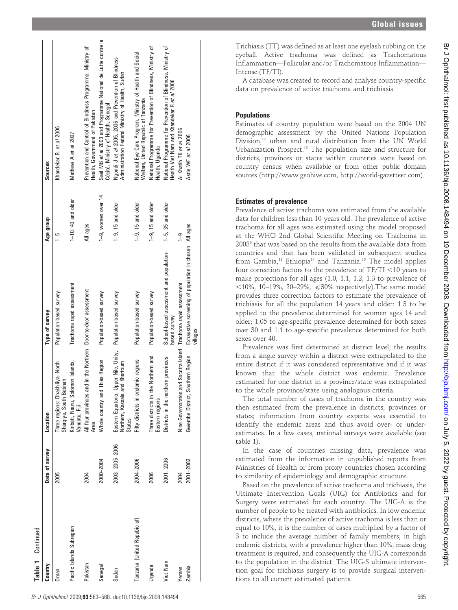| Table 1 Continued            |                 |                                                                                      |                                                                   |                         |                                                                                                           |
|------------------------------|-----------------|--------------------------------------------------------------------------------------|-------------------------------------------------------------------|-------------------------|-----------------------------------------------------------------------------------------------------------|
| Country                      | Date of survey  | Location                                                                             | Type of survey                                                    | Age group               | Sources                                                                                                   |
| Oman                         | 2005            | Three regions: Dhakhiliya, North<br>Sharqiya, South Batinah                          | Population-based survey                                           | $\frac{5}{1}$           | Khandekar R. et al 2006                                                                                   |
| Pacific Islands Subregion    |                 | Kiribati, Nauru, Solomon Islands,<br>Vanuatu, Fiji                                   | Trachoma rapid assessment                                         | $1-10$ , 40 and older   | Mathew A et al 2007                                                                                       |
| Pakistan                     | 2004            | All four provinces and<br>Area                                                       | in the Northern Door-to-door assessment                           | All ages                | Prevention and Control of Blindness Programme, Ministry of<br>Health, Government of Pakistan              |
| Senegal                      | 2000-2004       | Whole country and Thiès Region                                                       | Population-based survey                                           | $1-9$ , women over $14$ | Saal MB et al 2003 and Programme National de Lutte contre la<br>Cécité, Ministry of Health, Senegal       |
| Sudan                        | 2003, 2005-2006 | Eastern Equatoria, Upper Nile, Unity,<br>Khartoum<br>Northern, Kassala and<br>States | Population-based survey                                           | $1-9$ , 15 and older    | Ngondi J et al 2005, 2006 and Prevention of Blindness<br>Administration Federal Ministry of Health, Sudan |
| Tanzania (United Repubic of) | 2004-2006       | Fifty districts in endemic regions                                                   | Population-based survey                                           | $1-9$ , 15 and older    | National Eye Care Program, Ministry of Health and Social<br>Welfare, United Republic of Tanzania          |
| Uganda                       | 2006            | Three districts in the Northern and<br>Eastern regions                               | Population-based survey                                           | $1-9$ , 15 and older    | National Programme for Prevention of Blindness, Ministry of<br>Health, Uganda                             |
| Viet Nam                     | 2001, 2006      | Districts in the northern provinces                                                  | School-based assessment and population-<br>based survey           | $1-5$ , 35 and older    | National Programme for Prevention of Blindness, Ministry of<br>Health Viet Nam and Khandekar R et al 2006 |
| Yemen                        | 2004            | Nine Governorates and                                                                | Socotra Island Trachoma rapid assessment                          | $\frac{9}{1}$           | AI Khatib TK et al 2006                                                                                   |
| Zambia                       | $2001 - 2003$   | Gwembe District, Southem Region                                                      | Exhaustive screening of population in chosen All ages<br>villages |                         | Astle WF et al 2006                                                                                       |
|                              |                 |                                                                                      |                                                                   |                         |                                                                                                           |

Trichiasis (TT) was defined as at least one eyelash rubbing on the eyeball. Active trachoma was defined as Trachomatous Inflammation—Follicular and/or Trachomatous Inflammation— Intense (TF/TI).

A database was created to record and analyse country-specific data on prevalence of active trachoma and trichiasis.

# Populations

Estimates of country population were based on the 2004 UN demographic assessment by the United Nations Population Division,12 urban and rural distribution from the UN World Urbanization Prospect.13 The population size and structure for districts, provinces or states within countries were based on country census when available or from other public domain sources (http://www.geohive.com, http://world-gazetteer.com).

# Estimates of prevalence

Prevalence of active trachoma was estimated from the available data for children less than 10 years old. The prevalence of active trachoma for all ages was estimated using the model proposed at the WHO 2nd Global Scientific Meeting on Trachoma in  $2003<sup>6</sup>$  that was based on the results from the available data from countries and that has been validated in subsequent studies from Gambia,<sup>11</sup> Ethiopia<sup>14</sup> and Tanzania.<sup>15</sup> The model applies four correction factors to the prevalence of  $TF/TI < 10$  years to make projections for all ages (1.0, 1.1, 1.2, 1.3 to prevalence of <10%, 10–19%, 20–29%,  $\leq 30\%$  respectively). The same model provides three correction factors to estimate the prevalence of trichiasis for all the population 14 years and older: 1.3 to be applied to the prevalence determined for women ages 14 and older; 1.05 to age-specific prevalence determined for both sexes over 30 and 1.1 to age-specific prevalence determined for both sexes over 40.

Prevalence was first determined at district level; the results from a single survey within a district were extrapolated to the entire district if it was considered representative and if it was known that the whole district was endemic. Prevalence estimated for one district in a province/state was extrapolated to the whole province/state using analogous criteria.

The total number of cases of trachoma in the country was then estimated from the prevalence in districts, provinces or states; information from country experts was essential to identify the endemic areas and thus avoid over- or underestimates. In a few cases, national surveys were available (see table 1).

In the case of countries missing data, prevalence was estimated from the information in unpublished reports from Ministries of Health or from proxy countries chosen according to similarity of epidemiology and demographic structure.

Based on the prevalence of active trachoma and trichiasis, the Ultimate Intervention Goals (UIG) for Antibiotics and for Surgery were estimated for each country. The UIG-A is the number of people to be treated with antibiotics. In low endemic districts, where the prevalence of active trachoma is less than or equal to 10%, it is the number of cases multiplied by a factor of 3 to include the average number of family members; in high endemic districts, with a prevalence higher than 10%, mass drug treatment is required, and consequently the UIG-A corresponds to the population in the district. The UIG-S ultimate intervention goal for trichiasis surgery is to provide surgical interventions to all current estimated patients.

Table 1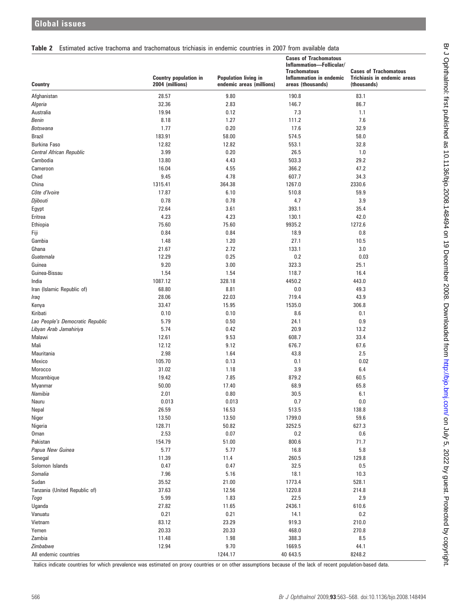### Table 2 Estimated active trachoma and trachomatous trichiasis in endemic countries in 2007 from available data

| <b>Country</b>                   | <b>Country population in</b><br>2004 (millions) | <b>Population living in</b><br>endemic areas (millions) | <b>Cases of Trachomatous</b><br>Inflammation-Follicular/<br><b>Trachomatous</b><br>Inflammation in endemic<br>areas (thousands) | <b>Cases of Trachomatous</b><br>Trichiasis in endemic areas<br>(thousands) |
|----------------------------------|-------------------------------------------------|---------------------------------------------------------|---------------------------------------------------------------------------------------------------------------------------------|----------------------------------------------------------------------------|
| Afghanistan                      | 28.57                                           | 9.80                                                    | 190.8                                                                                                                           | 83.1                                                                       |
| Algeria                          | 32.36                                           | 2.83                                                    | 146.7                                                                                                                           | 86.7                                                                       |
| Australia                        | 19.94                                           | 0.12                                                    | 7.3                                                                                                                             | 1.1                                                                        |
| Benin                            | 8.18                                            | 1.27                                                    | 111.2                                                                                                                           | 7.6                                                                        |
| Botswana                         | 1.77                                            | 0.20                                                    | 17.6                                                                                                                            | 32.9                                                                       |
| Brazil                           | 183.91                                          | 58.00                                                   | 574.5                                                                                                                           | 58.0                                                                       |
| <b>Burkina Faso</b>              | 12.82                                           | 12.82                                                   | 553.1                                                                                                                           | 32.8                                                                       |
| Central African Republic         | 3.99                                            | 0.20                                                    | 26.5                                                                                                                            | 1.0                                                                        |
| Cambodia                         | 13.80                                           | 4.43                                                    | 503.3                                                                                                                           | 29.2                                                                       |
| Cameroon                         | 16.04                                           | 4.55                                                    | 366.2                                                                                                                           | 47.2                                                                       |
| Chad                             | 9.45                                            | 4.78                                                    | 607.7                                                                                                                           | 34.3                                                                       |
| China                            | 1315.41                                         | 364.38                                                  | 1267.0                                                                                                                          | 2330.6                                                                     |
| Côte d'Ivoire                    | 17.87                                           | 6.10                                                    | 510.8                                                                                                                           | 59.9                                                                       |
| Djibouti                         | 0.78                                            | 0.78                                                    | 4.7                                                                                                                             | 3.9                                                                        |
| Egypt                            | 72.64                                           | 3.61                                                    | 393.1                                                                                                                           | 35.4                                                                       |
| Eritrea                          | 4.23                                            | 4.23                                                    | 130.1                                                                                                                           | 42.0                                                                       |
| Ethiopia                         | 75.60                                           | 75.60                                                   | 9935.2                                                                                                                          | 1272.6                                                                     |
| Fiji                             | 0.84                                            | 0.84                                                    | 18.9                                                                                                                            | 0.8                                                                        |
| Gambia                           | 1.48                                            | 1.20                                                    | 27.1                                                                                                                            | 10.5                                                                       |
| Ghana                            | 21.67                                           | 2.72                                                    | 133.1                                                                                                                           | 3.0                                                                        |
| Guatemala                        | 12.29                                           | 0.25                                                    | 0.2                                                                                                                             | 0.03                                                                       |
| Guinea                           | 9.20                                            | 3.00                                                    | 323.3                                                                                                                           | 25.1                                                                       |
| Guinea-Bissau                    | 1.54                                            | 1.54                                                    | 118.7                                                                                                                           | 16.4                                                                       |
| India                            | 1087.12                                         | 328.18                                                  | 4450.2                                                                                                                          | 443.0                                                                      |
| Iran (Islamic Republic of)       | 68.80                                           | 8.81                                                    | 0.0                                                                                                                             | 49.3                                                                       |
| Iraq                             | 28.06                                           | 22.03                                                   | 719.4                                                                                                                           | 43.9                                                                       |
| Kenya                            | 33.47                                           | 15.95                                                   | 1535.0                                                                                                                          | 306.8                                                                      |
| Kiribati                         | 0.10                                            | 0.10                                                    | 8.6                                                                                                                             | 0.1                                                                        |
| Lao People's Democratic Republic | 5.79                                            | 0.50                                                    | 24.1                                                                                                                            | 0.9                                                                        |
| Libyan Arab Jamahiriya           | 5.74                                            | 0.42                                                    | 20.9                                                                                                                            | 13.2                                                                       |
| Malawi                           | 12.61                                           | 9.53                                                    | 608.7                                                                                                                           | 33.4                                                                       |
| Mali                             | 12.12<br>2.98                                   | 9.12                                                    | 676.7                                                                                                                           | 67.6<br>2.5                                                                |
| Mauritania                       | 105.70                                          | 1.64                                                    | 43.8                                                                                                                            | 0.02                                                                       |
| Mexico                           |                                                 | 0.13                                                    | 0.1                                                                                                                             | 6.4                                                                        |
| Morocco<br>Mozambique            | 31.02<br>19.42                                  | 1.18<br>7.85                                            | 3.9<br>879.2                                                                                                                    | 60.5                                                                       |
| Myanmar                          | 50.00                                           | 17.40                                                   | 68.9                                                                                                                            | 65.8                                                                       |
| Namibia                          | 2.01                                            | 0.80                                                    | 30.5                                                                                                                            | 6.1                                                                        |
| Nauru                            | 0.013                                           | 0.013                                                   | 0.7                                                                                                                             | $0.0\,$                                                                    |
| Nepal                            | 26.59                                           | 16.53                                                   | 513.5                                                                                                                           | 138.8                                                                      |
| Niger                            | 13.50                                           | 13.50                                                   | 1799.0                                                                                                                          | 59.6                                                                       |
| Nigeria                          | 128.71                                          | 50.82                                                   | 3252.5                                                                                                                          | 627.3                                                                      |
| <b>Oman</b>                      | 2.53                                            | 0.07                                                    | 0.2                                                                                                                             | 0.6                                                                        |
| Pakistan                         | 154.79                                          | 51.00                                                   | 800.6                                                                                                                           | 71.7                                                                       |
| Papua New Guinea                 | 5.77                                            | 5.77                                                    | 16.8                                                                                                                            | 5.8                                                                        |
| Senegal                          | 11.39                                           | 11.4                                                    | 260.5                                                                                                                           | 129.8                                                                      |
| Solomon Islands                  | 0.47                                            | 0.47                                                    | 32.5                                                                                                                            | 0.5                                                                        |
| Somalia                          | 7.96                                            | 5.16                                                    | 18.1                                                                                                                            | 10.3                                                                       |
| Sudan                            | 35.52                                           | 21.00                                                   | 1773.4                                                                                                                          | 528.1                                                                      |
| Tanzania (United Republic of)    | 37.63                                           | 12.56                                                   | 1220.8                                                                                                                          | 214.8                                                                      |
| Togo                             | 5.99                                            | 1.83                                                    | 22.5                                                                                                                            | 2.9                                                                        |
| Uganda                           | 27.82                                           | 11.65                                                   | 2436.1                                                                                                                          | 610.6                                                                      |
| Vanuatu                          | 0.21                                            | 0.21                                                    | 14.1                                                                                                                            | 0.2                                                                        |
| Vietnam                          | 83.12                                           | 23.29                                                   | 919.3                                                                                                                           | 210.0                                                                      |
| Yemen                            | 20.33                                           | 20.33                                                   | 468.0                                                                                                                           | 270.8                                                                      |
| Zambia                           | 11.48                                           | 1.98                                                    | 388.3                                                                                                                           | 8.5                                                                        |
| Zimbabwe                         | 12.94                                           | 9.70                                                    | 1669.5                                                                                                                          | 44.1                                                                       |
| All endemic countries            |                                                 | 1244.17                                                 | 40 643.5                                                                                                                        | 8248.2                                                                     |

Italics indicate countries for which prevalence was estimated on proxy countries or on other assumptions because of the lack of recent population-based data.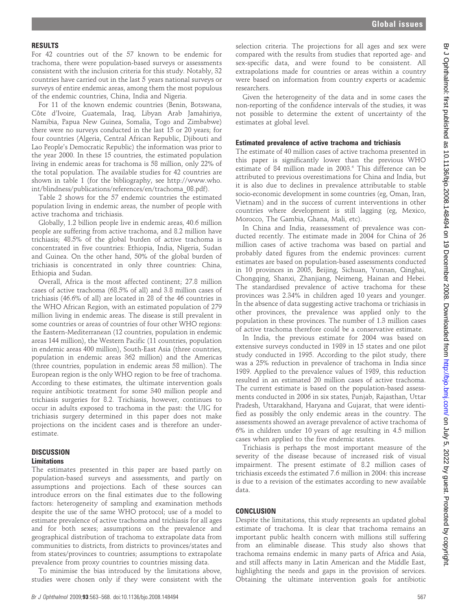#### RESULTS

For 42 countries out of the 57 known to be endemic for trachoma, there were population-based surveys or assessments consistent with the inclusion criteria for this study. Notably, 32 countries have carried out in the last 5 years national surveys or surveys of entire endemic areas, among them the most populous of the endemic countries, China, India and Nigeria.

For 11 of the known endemic countries (Benin, Botswana, Côte d'Ivoire, Guatemala, Iraq, Libyan Arab Jamahiriya, Namibia, Papua New Guinea, Somalia, Togo and Zimbabwe) there were no surveys conducted in the last 15 or 20 years; for four countries (Algeria, Central African Republic, Djibouti and Lao People's Democratic Republic) the information was prior to the year 2000. In these 15 countries, the estimated population living in endemic areas for trachoma is 58 million, only 22% of the total population. The available studies for 42 countries are shown in table 1 (for the bibliography, see http://www.who. int/blindness/publications/references/en/trachoma\_08.pdf).

Table 2 shows for the 57 endemic countries the estimated population living in endemic areas, the number of people with active trachoma and trichiasis.

Globally, 1.2 billion people live in endemic areas, 40.6 million people are suffering from active trachoma, and 8.2 million have trichiasis; 48.5% of the global burden of active trachoma is concentrated in five countries: Ethiopia, India, Nigeria, Sudan and Guinea. On the other hand, 50% of the global burden of trichiasis is concentrated in only three countries: China, Ethiopia and Sudan.

Overall, Africa is the most affected continent; 27.8 million cases of active trachoma (68.5% of all) and 3.8 million cases of trichiasis (46.6% of all) are located in 28 of the 46 countries in the WHO African Region, with an estimated population of 279 million living in endemic areas. The disease is still prevalent in some countries or areas of countries of four other WHO regions: the Eastern-Mediterranean (12 countries, population in endemic areas 144 million), the Western Pacific (11 countries, population in endemic areas 400 million), South-East Asia (three countries, population in endemic areas 362 million) and the Americas (three countries, population in endemic areas 58 million). The European region is the only WHO region to be free of trachoma. According to these estimates, the ultimate intervention goals require antibiotic treatment for some 340 million people and trichiasis surgeries for 8.2. Trichiasis, however, continues to occur in adults exposed to trachoma in the past: the UIG for trichiasis surgery determined in this paper does not make projections on the incident cases and is therefore an underestimate.

# DISCUSSION

#### Limitations

The estimates presented in this paper are based partly on population-based surveys and assessments, and partly on assumptions and projections. Each of these sources can introduce errors on the final estimates due to the following factors: heterogeneity of sampling and examination methods despite the use of the same WHO protocol; use of a model to estimate prevalence of active trachoma and trichiasis for all ages and for both sexes; assumptions on the prevalence and geographical distribution of trachoma to extrapolate data from communities to districts, from districts to provinces/states and from states/provinces to countries; assumptions to extrapolate prevalence from proxy countries to countries missing data.

To minimise the bias introduced by the limitations above, studies were chosen only if they were consistent with the

selection criteria. The projections for all ages and sex were compared with the results from studies that reported age- and sex-specific data, and were found to be consistent. All extrapolations made for countries or areas within a country were based on information from country experts or academic researchers.

Given the heterogeneity of the data and in some cases the non-reporting of the confidence intervals of the studies, it was not possible to determine the extent of uncertainty of the estimates at global level.

#### Estimated prevalence of active trachoma and trichiasis

The estimate of 40 million cases of active trachoma presented in this paper is significantly lower than the previous WHO estimate of 84 million made in 2003.<sup>6</sup> This difference can be attributed to previous overestimations for China and India, but it is also due to declines in prevalence attributable to stable socio-economic development in some countries (eg, Oman, Iran, Vietnam) and in the success of current interventions in other countries where development is still lagging (eg, Mexico, Morocco, The Gambia, Ghana, Mali, etc).

In China and India, reassessment of prevalence was conducted recently. The estimate made in 2004 for China of 26 million cases of active trachoma was based on partial and probably dated figures from the endemic provinces: current estimates are based on population-based assessments conducted in 10 provinces in 2005, Beijing, Sichuan, Yunnan, Qinghai, Chongqing, Shanxi, Zhanjiang, Neimeng, Hainan and Hebei. The standardised prevalence of active trachoma for these provinces was 2.34% in children aged 10 years and younger. In the absence of data suggesting active trachoma or trichiasis in other provinces, the prevalence was applied only to the population in these provinces. The number of 1.3 million cases of active trachoma therefore could be a conservative estimate.

In India, the previous estimate for 2004 was based on extensive surveys conducted in 1989 in 15 states and one pilot study conducted in 1995. According to the pilot study, there was a 25% reduction in prevalence of trachoma in India since 1989. Applied to the prevalence values of 1989, this reduction resulted in an estimated 20 million cases of active trachoma. The current estimate is based on the population-based assessments conducted in 2006 in six states, Punjab, Rajasthan, Uttar Pradesh, Uttarakhand, Haryana and Gujarat, that were identified as possibly the only endemic areas in the country. The assessments showed an average prevalence of active trachoma of 6% in children under 10 years of age resulting in 4.5 million cases when applied to the five endemic states.

Trichiasis is perhaps the most important measure of the severity of the disease because of increased risk of visual impairment. The present estimate of 8.2 million cases of trichiasis exceeds the estimated 7.6 million in 2004: this increase is due to a revision of the estimates according to new available data.

# **CONCLUSION**

Despite the limitations, this study represents an updated global estimate of trachoma. It is clear that trachoma remains an important public health concern with millions still suffering from an eliminable disease. This study also shows that trachoma remains endemic in many parts of Africa and Asia, and still affects many in Latin American and the Middle East, highlighting the needs and gaps in the provision of services. Obtaining the ultimate intervention goals for antibiotic